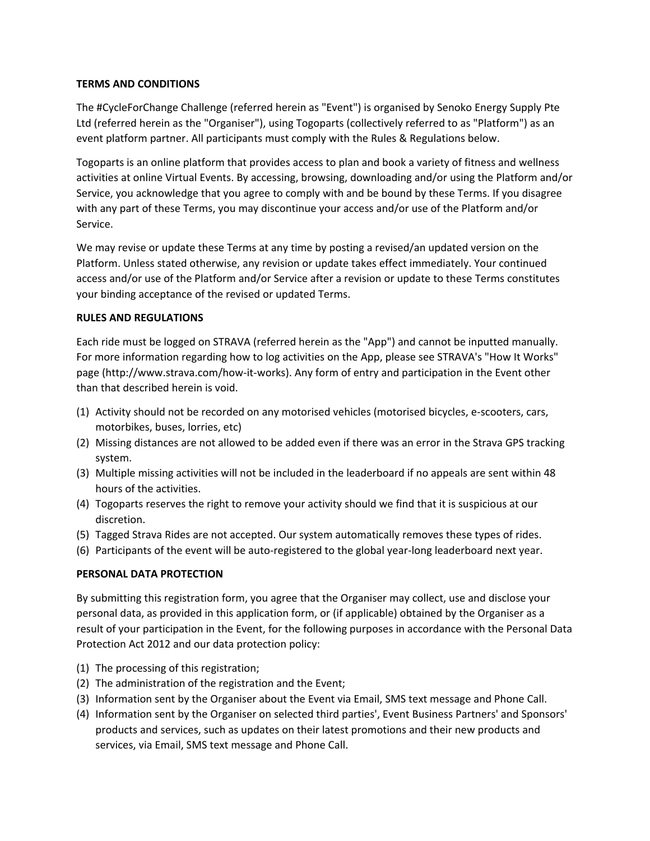### **TERMS AND CONDITIONS**

The #CycleForChange Challenge (referred herein as "Event") is organised by Senoko Energy Supply Pte Ltd (referred herein as the "Organiser"), using Togoparts (collectively referred to as "Platform") as an event platform partner. All participants must comply with the Rules & Regulations below.

Togoparts is an online platform that provides access to plan and book a variety of fitness and wellness activities at online Virtual Events. By accessing, browsing, downloading and/or using the Platform and/or Service, you acknowledge that you agree to comply with and be bound by these Terms. If you disagree with any part of these Terms, you may discontinue your access and/or use of the Platform and/or Service.

We may revise or update these Terms at any time by posting a revised/an updated version on the Platform. Unless stated otherwise, any revision or update takes effect immediately. Your continued access and/or use of the Platform and/or Service after a revision or update to these Terms constitutes your binding acceptance of the revised or updated Terms.

## **RULES AND REGULATIONS**

Each ride must be logged on STRAVA (referred herein as the "App") and cannot be inputted manually. For more information regarding how to log activities on the App, please see STRAVA's "How It Works" page (http://www.strava.com/how-it-works). Any form of entry and participation in the Event other than that described herein is void.

- (1) Activity should not be recorded on any motorised vehicles (motorised bicycles, e-scooters, cars, motorbikes, buses, lorries, etc)
- (2) Missing distances are not allowed to be added even if there was an error in the Strava GPS tracking system.
- (3) Multiple missing activities will not be included in the leaderboard if no appeals are sent within 48 hours of the activities.
- (4) Togoparts reserves the right to remove your activity should we find that it is suspicious at our discretion.
- (5) Tagged Strava Rides are not accepted. Our system automatically removes these types of rides.
- (6) Participants of the event will be auto-registered to the global year-long leaderboard next year.

# **PERSONAL DATA PROTECTION**

By submitting this registration form, you agree that the Organiser may collect, use and disclose your personal data, as provided in this application form, or (if applicable) obtained by the Organiser as a result of your participation in the Event, for the following purposes in accordance with the Personal Data Protection Act 2012 and our data protection policy:

- (1) The processing of this registration;
- (2) The administration of the registration and the Event;
- (3) Information sent by the Organiser about the Event via Email, SMS text message and Phone Call.
- (4) Information sent by the Organiser on selected third parties', Event Business Partners' and Sponsors' products and services, such as updates on their latest promotions and their new products and services, via Email, SMS text message and Phone Call.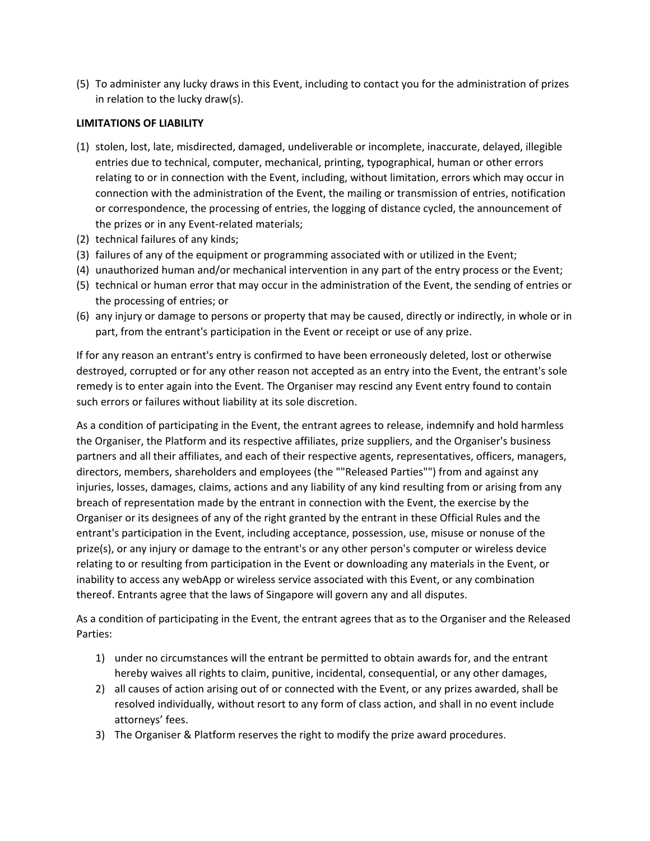(5) To administer any lucky draws in this Event, including to contact you for the administration of prizes in relation to the lucky draw(s).

### **LIMITATIONS OF LIABILITY**

- (1) stolen, lost, late, misdirected, damaged, undeliverable or incomplete, inaccurate, delayed, illegible entries due to technical, computer, mechanical, printing, typographical, human or other errors relating to or in connection with the Event, including, without limitation, errors which may occur in connection with the administration of the Event, the mailing or transmission of entries, notification or correspondence, the processing of entries, the logging of distance cycled, the announcement of the prizes or in any Event-related materials;
- (2) technical failures of any kinds;
- (3) failures of any of the equipment or programming associated with or utilized in the Event;
- (4) unauthorized human and/or mechanical intervention in any part of the entry process or the Event;
- (5) technical or human error that may occur in the administration of the Event, the sending of entries or the processing of entries; or
- (6) any injury or damage to persons or property that may be caused, directly or indirectly, in whole or in part, from the entrant's participation in the Event or receipt or use of any prize.

If for any reason an entrant's entry is confirmed to have been erroneously deleted, lost or otherwise destroyed, corrupted or for any other reason not accepted as an entry into the Event, the entrant's sole remedy is to enter again into the Event. The Organiser may rescind any Event entry found to contain such errors or failures without liability at its sole discretion.

As a condition of participating in the Event, the entrant agrees to release, indemnify and hold harmless the Organiser, the Platform and its respective affiliates, prize suppliers, and the Organiser's business partners and all their affiliates, and each of their respective agents, representatives, officers, managers, directors, members, shareholders and employees (the ""Released Parties"") from and against any injuries, losses, damages, claims, actions and any liability of any kind resulting from or arising from any breach of representation made by the entrant in connection with the Event, the exercise by the Organiser or its designees of any of the right granted by the entrant in these Official Rules and the entrant's participation in the Event, including acceptance, possession, use, misuse or nonuse of the prize(s), or any injury or damage to the entrant's or any other person's computer or wireless device relating to or resulting from participation in the Event or downloading any materials in the Event, or inability to access any webApp or wireless service associated with this Event, or any combination thereof. Entrants agree that the laws of Singapore will govern any and all disputes.

As a condition of participating in the Event, the entrant agrees that as to the Organiser and the Released Parties:

- 1) under no circumstances will the entrant be permitted to obtain awards for, and the entrant hereby waives all rights to claim, punitive, incidental, consequential, or any other damages,
- 2) all causes of action arising out of or connected with the Event, or any prizes awarded, shall be resolved individually, without resort to any form of class action, and shall in no event include attorneys' fees.
- 3) The Organiser & Platform reserves the right to modify the prize award procedures.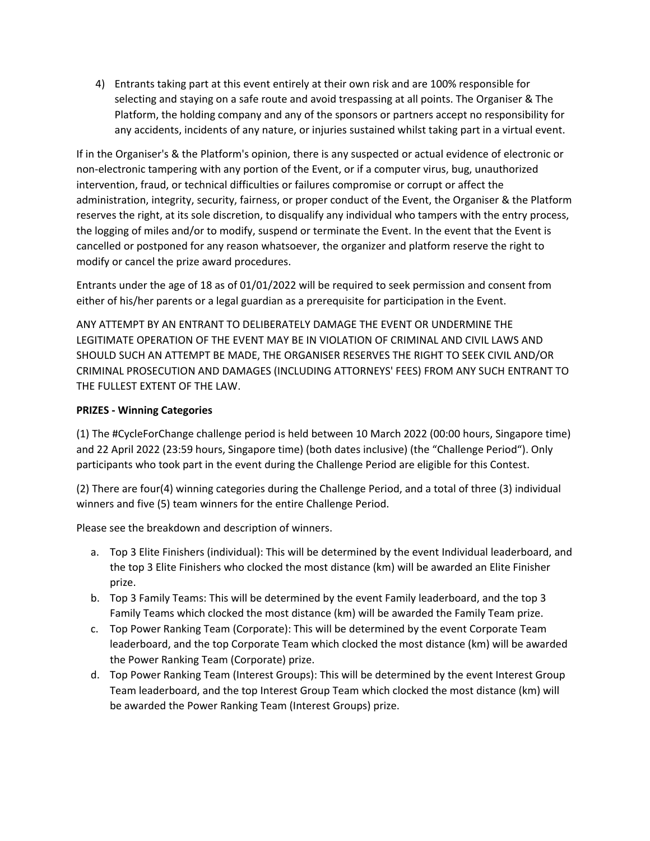4) Entrants taking part at this event entirely at their own risk and are 100% responsible for selecting and staying on a safe route and avoid trespassing at all points. The Organiser & The Platform, the holding company and any of the sponsors or partners accept no responsibility for any accidents, incidents of any nature, or injuries sustained whilst taking part in a virtual event.

If in the Organiser's & the Platform's opinion, there is any suspected or actual evidence of electronic or non-electronic tampering with any portion of the Event, or if a computer virus, bug, unauthorized intervention, fraud, or technical difficulties or failures compromise or corrupt or affect the administration, integrity, security, fairness, or proper conduct of the Event, the Organiser & the Platform reserves the right, at its sole discretion, to disqualify any individual who tampers with the entry process, the logging of miles and/or to modify, suspend or terminate the Event. In the event that the Event is cancelled or postponed for any reason whatsoever, the organizer and platform reserve the right to modify or cancel the prize award procedures.

Entrants under the age of 18 as of 01/01/2022 will be required to seek permission and consent from either of his/her parents or a legal guardian as a prerequisite for participation in the Event.

ANY ATTEMPT BY AN ENTRANT TO DELIBERATELY DAMAGE THE EVENT OR UNDERMINE THE LEGITIMATE OPERATION OF THE EVENT MAY BE IN VIOLATION OF CRIMINAL AND CIVIL LAWS AND SHOULD SUCH AN ATTEMPT BE MADE, THE ORGANISER RESERVES THE RIGHT TO SEEK CIVIL AND/OR CRIMINAL PROSECUTION AND DAMAGES (INCLUDING ATTORNEYS' FEES) FROM ANY SUCH ENTRANT TO THE FULLEST EXTENT OF THE LAW.

## **PRIZES - Winning Categories**

(1) The #CycleForChange challenge period is held between 10 March 2022 (00:00 hours, Singapore time) and 22 April 2022 (23:59 hours, Singapore time) (both dates inclusive) (the "Challenge Period"). Only participants who took part in the event during the Challenge Period are eligible for this Contest.

(2) There are four(4) winning categories during the Challenge Period, and a total of three (3) individual winners and five (5) team winners for the entire Challenge Period.

Please see the breakdown and description of winners.

- a. Top 3 Elite Finishers (individual): This will be determined by the event Individual leaderboard, and the top 3 Elite Finishers who clocked the most distance (km) will be awarded an Elite Finisher prize.
- b. Top 3 Family Teams: This will be determined by the event Family leaderboard, and the top 3 Family Teams which clocked the most distance (km) will be awarded the Family Team prize.
- c. Top Power Ranking Team (Corporate): This will be determined by the event Corporate Team leaderboard, and the top Corporate Team which clocked the most distance (km) will be awarded the Power Ranking Team (Corporate) prize.
- d. Top Power Ranking Team (Interest Groups): This will be determined by the event Interest Group Team leaderboard, and the top Interest Group Team which clocked the most distance (km) will be awarded the Power Ranking Team (Interest Groups) prize.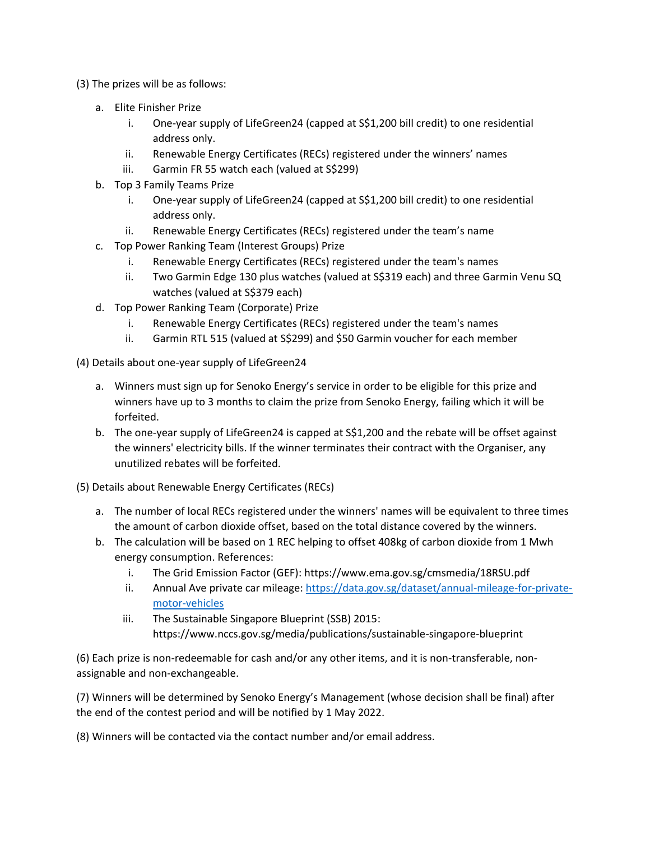- (3) The prizes will be as follows:
	- a. Elite Finisher Prize
		- i. One-year supply of LifeGreen24 (capped at S\$1,200 bill credit) to one residential address only.
		- ii. Renewable Energy Certificates (RECs) registered under the winners' names
		- iii. Garmin FR 55 watch each (valued at S\$299)
	- b. Top 3 Family Teams Prize
		- i. One-year supply of LifeGreen24 (capped at S\$1,200 bill credit) to one residential address only.
		- ii. Renewable Energy Certificates (RECs) registered under the team's name
	- c. Top Power Ranking Team (Interest Groups) Prize
		- i. Renewable Energy Certificates (RECs) registered under the team's names
		- ii. Two Garmin Edge 130 plus watches (valued at S\$319 each) and three Garmin Venu SQ watches (valued at S\$379 each)
	- d. Top Power Ranking Team (Corporate) Prize
		- i. Renewable Energy Certificates (RECs) registered under the team's names
		- ii. Garmin RTL 515 (valued at S\$299) and \$50 Garmin voucher for each member

(4) Details about one-year supply of LifeGreen24

- a. Winners must sign up for Senoko Energy's service in order to be eligible for this prize and winners have up to 3 months to claim the prize from Senoko Energy, failing which it will be forfeited.
- b. The one-year supply of LifeGreen24 is capped at S\$1,200 and the rebate will be offset against the winners' electricity bills. If the winner terminates their contract with the Organiser, any unutilized rebates will be forfeited.

(5) Details about Renewable Energy Certificates (RECs)

- a. The number of local RECs registered under the winners' names will be equivalent to three times the amount of carbon dioxide offset, based on the total distance covered by the winners.
- b. The calculation will be based on 1 REC helping to offset 408kg of carbon dioxide from 1 Mwh energy consumption. References:
	- i. The Grid Emission Factor (GEF): https://www.ema.gov.sg/cmsmedia/18RSU.pdf
	- ii. Annual Ave private car mileage: [https://data.gov.sg/dataset/annual-mileage-for-private](https://data.gov.sg/dataset/annual-mileage-for-private-motor-vehicles)[motor-vehicles](https://data.gov.sg/dataset/annual-mileage-for-private-motor-vehicles)
	- iii. The Sustainable Singapore Blueprint (SSB) 2015: https://www.nccs.gov.sg/media/publications/sustainable-singapore-blueprint

(6) Each prize is non-redeemable for cash and/or any other items, and it is non-transferable, nonassignable and non-exchangeable.

(7) Winners will be determined by Senoko Energy's Management (whose decision shall be final) after the end of the contest period and will be notified by 1 May 2022.

(8) Winners will be contacted via the contact number and/or email address.